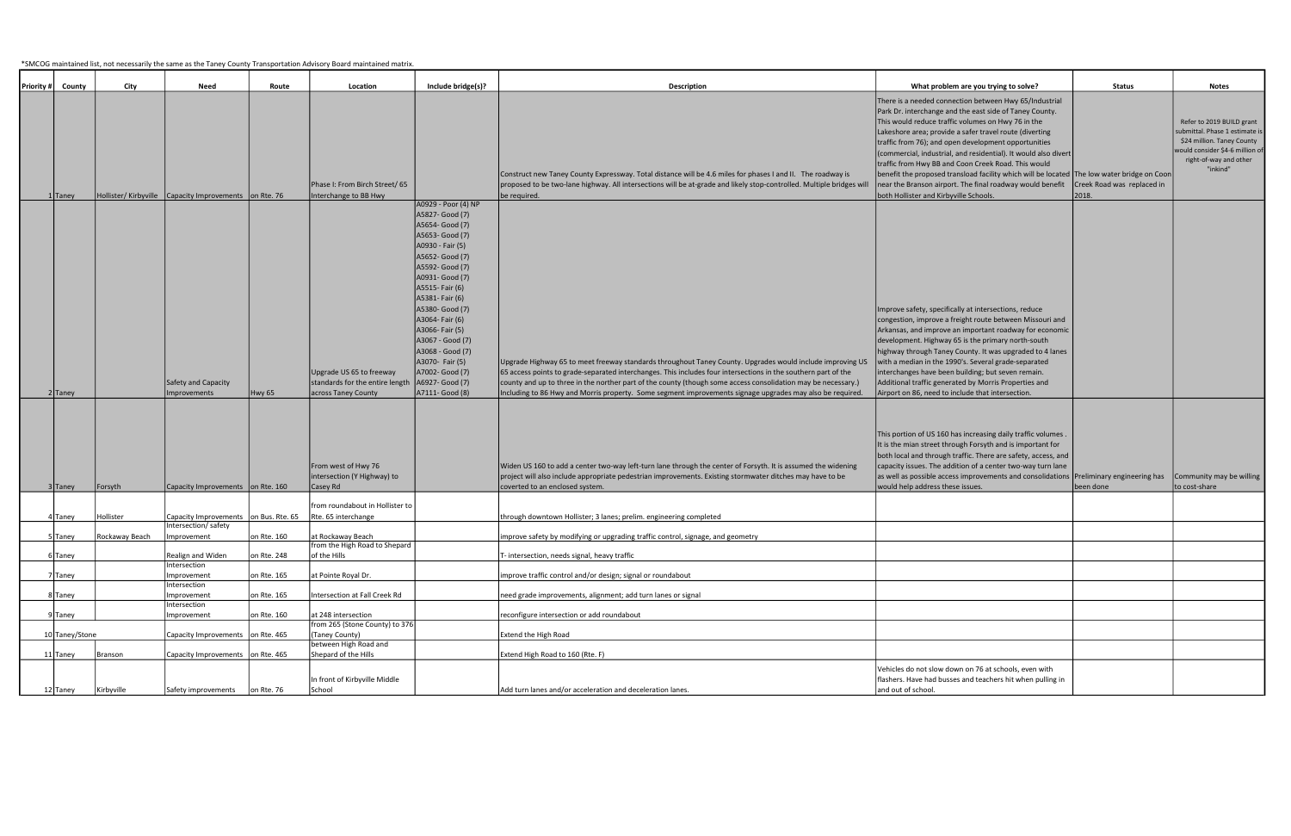\*SMCOG maintained list, not necessarily the same as the Taney County Transportation Advisory Board maintained matrix.

| <b>Priority#</b> | County               | City           | Need                                                           | Route       | Location                                                                           | Include bridge(s)?                                                                                                                                                                                                                                                                                                                                                           | <b>Description</b>                                                                                                                                                                                                                                                                                                                                                                                                                                                        | What problem are you trying to solve?                                                                                                                                                                                                                                                                                                                                                                                                                                                                                                                                                                                       | Status                                   | <b>Notes</b>                                                                                                                                                      |
|------------------|----------------------|----------------|----------------------------------------------------------------|-------------|------------------------------------------------------------------------------------|------------------------------------------------------------------------------------------------------------------------------------------------------------------------------------------------------------------------------------------------------------------------------------------------------------------------------------------------------------------------------|---------------------------------------------------------------------------------------------------------------------------------------------------------------------------------------------------------------------------------------------------------------------------------------------------------------------------------------------------------------------------------------------------------------------------------------------------------------------------|-----------------------------------------------------------------------------------------------------------------------------------------------------------------------------------------------------------------------------------------------------------------------------------------------------------------------------------------------------------------------------------------------------------------------------------------------------------------------------------------------------------------------------------------------------------------------------------------------------------------------------|------------------------------------------|-------------------------------------------------------------------------------------------------------------------------------------------------------------------|
|                  |                      |                | Hollister/Kirbyville Capacity Improvements on Rte. 76          |             | Phase I: From Birch Street/ 65<br>Interchange to BB Hwy                            |                                                                                                                                                                                                                                                                                                                                                                              | Construct new Taney County Expressway. Total distance will be 4.6 miles for phases I and II. The roadway is<br>proposed to be two-lane highway. All intersections will be at-grade and likely stop-controlled. Multiple bridges will                                                                                                                                                                                                                                      | There is a needed connection between Hwy 65/Industrial<br>Park Dr. interchange and the east side of Taney County.<br>This would reduce traffic volumes on Hwy 76 in the<br>Lakeshore area; provide a safer travel route (diverting<br>traffic from 76); and open development opportunities<br>(commercial, industrial, and residential). It would also divert<br>traffic from Hwy BB and Coon Creek Road. This would<br>benefit the proposed transload facility which will be located   The low water bridge on Coon<br>near the Branson airport. The final roadway would benefit<br>both Hollister and Kirbyville Schools. | Creek Road was replaced in<br>2018.      | Refer to 2019 BUILD grant<br>ubmittal. Phase 1 estimate is<br>\$24 million. Taney County<br>would consider \$4-6 million of<br>right-of-way and other<br>"inkind" |
|                  | 1 Taney<br>$2$ Taney |                | Safety and Capacity<br>Improvements                            | Hwy 65      | Upgrade US 65 to freeway<br>standards for the entire length<br>across Taney County | A0929 - Poor (4) NP<br>A5827- Good (7)<br>A5654- Good (7)<br>A5653- Good (7)<br>A0930 - Fair (5)<br>A5652- Good (7)<br>A5592- Good (7)<br>A0931- Good (7)<br>A5515- Fair (6)<br>A5381- Fair (6)<br>A5380- Good (7)<br>A3064- Fair (6)<br>A3066- Fair (5)<br>A3067 - Good (7)<br>A3068 - Good (7)<br>A3070- Fair (5)<br>A7002- Good (7)<br>A6927- Good (7)<br>A7111- Good (8) | be required.<br>Upgrade Highway 65 to meet freeway standards throughout Taney County. Upgrades would include improving US<br>65 access points to grade-separated interchanges. This includes four intersections in the southern part of the<br>county and up to three in the norther part of the county (though some access consolidation may be necessary.)<br>Including to 86 Hwy and Morris property. Some segment improvements signage upgrades may also be required. | Improve safety, specifically at intersections, reduce<br>congestion, improve a freight route between Missouri and<br>Arkansas, and improve an important roadway for economic<br>development. Highway 65 is the primary north-south<br>highway through Taney County. It was upgraded to 4 lanes<br>with a median in the 1990's. Several grade-separated<br>interchanges have been building; but seven remain.<br>Additional traffic generated by Morris Properties and<br>Airport on 86, need to include that intersection.                                                                                                  |                                          |                                                                                                                                                                   |
|                  | 3 Taney              | Forsyth        | Capacity Improvements on Rte. 160                              |             | From west of Hwy 76<br>intersection (Y Highway) to<br>Casey Rd                     |                                                                                                                                                                                                                                                                                                                                                                              | Widen US 160 to add a center two-way left-turn lane through the center of Forsyth. It is assumed the widening<br>project will also include appropriate pedestrian improvements. Existing stormwater ditches may have to be<br>coverted to an enclosed system.                                                                                                                                                                                                             | This portion of US 160 has increasing daily traffic volumes.<br>It is the mian street through Forsyth and is important for<br>both local and through traffic. There are safety, access, and<br>capacity issues. The addition of a center two-way turn lane<br>as well as possible access improvements and consolidations<br>would help address these issues.                                                                                                                                                                                                                                                                | Preliminary engineering has<br>been done | Community may be willing<br>to cost-share                                                                                                                         |
|                  |                      |                |                                                                |             | from roundabout in Hollister to                                                    |                                                                                                                                                                                                                                                                                                                                                                              |                                                                                                                                                                                                                                                                                                                                                                                                                                                                           |                                                                                                                                                                                                                                                                                                                                                                                                                                                                                                                                                                                                                             |                                          |                                                                                                                                                                   |
|                  | 4 Taney              | Hollister      | Capacity Improvements   on Bus. Rte. 65<br>Intersection/safety |             | Rte. 65 interchange                                                                |                                                                                                                                                                                                                                                                                                                                                                              | through downtown Hollister; 3 lanes; prelim. engineering completed                                                                                                                                                                                                                                                                                                                                                                                                        |                                                                                                                                                                                                                                                                                                                                                                                                                                                                                                                                                                                                                             |                                          |                                                                                                                                                                   |
|                  | 5 Taney              | Rockaway Beach | mprovement                                                     | on Rte. 160 | at Rockaway Beach                                                                  |                                                                                                                                                                                                                                                                                                                                                                              | improve safety by modifying or upgrading traffic control, signage, and geometry                                                                                                                                                                                                                                                                                                                                                                                           |                                                                                                                                                                                                                                                                                                                                                                                                                                                                                                                                                                                                                             |                                          |                                                                                                                                                                   |
|                  | 6 Taney              |                | Realign and Widen                                              | on Rte. 248 | from the High Road to Shepard<br>of the Hills                                      |                                                                                                                                                                                                                                                                                                                                                                              | T- intersection, needs signal, heavy traffic                                                                                                                                                                                                                                                                                                                                                                                                                              |                                                                                                                                                                                                                                                                                                                                                                                                                                                                                                                                                                                                                             |                                          |                                                                                                                                                                   |
|                  |                      |                | Intersection                                                   |             |                                                                                    |                                                                                                                                                                                                                                                                                                                                                                              |                                                                                                                                                                                                                                                                                                                                                                                                                                                                           |                                                                                                                                                                                                                                                                                                                                                                                                                                                                                                                                                                                                                             |                                          |                                                                                                                                                                   |
|                  | 7 Taney              |                | Improvement<br>Intersection                                    | on Rte. 165 | at Pointe Royal Dr.                                                                |                                                                                                                                                                                                                                                                                                                                                                              | improve traffic control and/or design; signal or roundabout                                                                                                                                                                                                                                                                                                                                                                                                               |                                                                                                                                                                                                                                                                                                                                                                                                                                                                                                                                                                                                                             |                                          |                                                                                                                                                                   |
|                  | 8 Taney              |                | Improvement                                                    | on Rte. 165 | Intersection at Fall Creek Rd                                                      |                                                                                                                                                                                                                                                                                                                                                                              | need grade improvements, alignment; add turn lanes or signal                                                                                                                                                                                                                                                                                                                                                                                                              |                                                                                                                                                                                                                                                                                                                                                                                                                                                                                                                                                                                                                             |                                          |                                                                                                                                                                   |
|                  | 9 Taney              |                | Intersection<br>Improvement                                    | on Rte. 160 | at 248 intersection                                                                |                                                                                                                                                                                                                                                                                                                                                                              | reconfigure intersection or add roundabout                                                                                                                                                                                                                                                                                                                                                                                                                                |                                                                                                                                                                                                                                                                                                                                                                                                                                                                                                                                                                                                                             |                                          |                                                                                                                                                                   |
|                  |                      |                |                                                                |             | from 265 (Stone County) to 376                                                     |                                                                                                                                                                                                                                                                                                                                                                              |                                                                                                                                                                                                                                                                                                                                                                                                                                                                           |                                                                                                                                                                                                                                                                                                                                                                                                                                                                                                                                                                                                                             |                                          |                                                                                                                                                                   |
|                  | 10 Taney/Stone       |                | Capacity Improvements   on Rte. 465                            |             | (Taney County)<br>between High Road and                                            |                                                                                                                                                                                                                                                                                                                                                                              | Extend the High Road                                                                                                                                                                                                                                                                                                                                                                                                                                                      |                                                                                                                                                                                                                                                                                                                                                                                                                                                                                                                                                                                                                             |                                          |                                                                                                                                                                   |
|                  | 11 Taney             | Branson        | Capacity Improvements on Rte. 465                              |             | Shepard of the Hills                                                               |                                                                                                                                                                                                                                                                                                                                                                              | Extend High Road to 160 (Rte. F)                                                                                                                                                                                                                                                                                                                                                                                                                                          |                                                                                                                                                                                                                                                                                                                                                                                                                                                                                                                                                                                                                             |                                          |                                                                                                                                                                   |
|                  | 12 Taney             | Kirbyville     | Safety improvements                                            | on Rte. 76  | In front of Kirbyville Middle<br>School                                            |                                                                                                                                                                                                                                                                                                                                                                              | Add turn lanes and/or acceleration and deceleration lanes.                                                                                                                                                                                                                                                                                                                                                                                                                | Vehicles do not slow down on 76 at schools, even with<br>flashers. Have had busses and teachers hit when pulling in<br>and out of school.                                                                                                                                                                                                                                                                                                                                                                                                                                                                                   |                                          |                                                                                                                                                                   |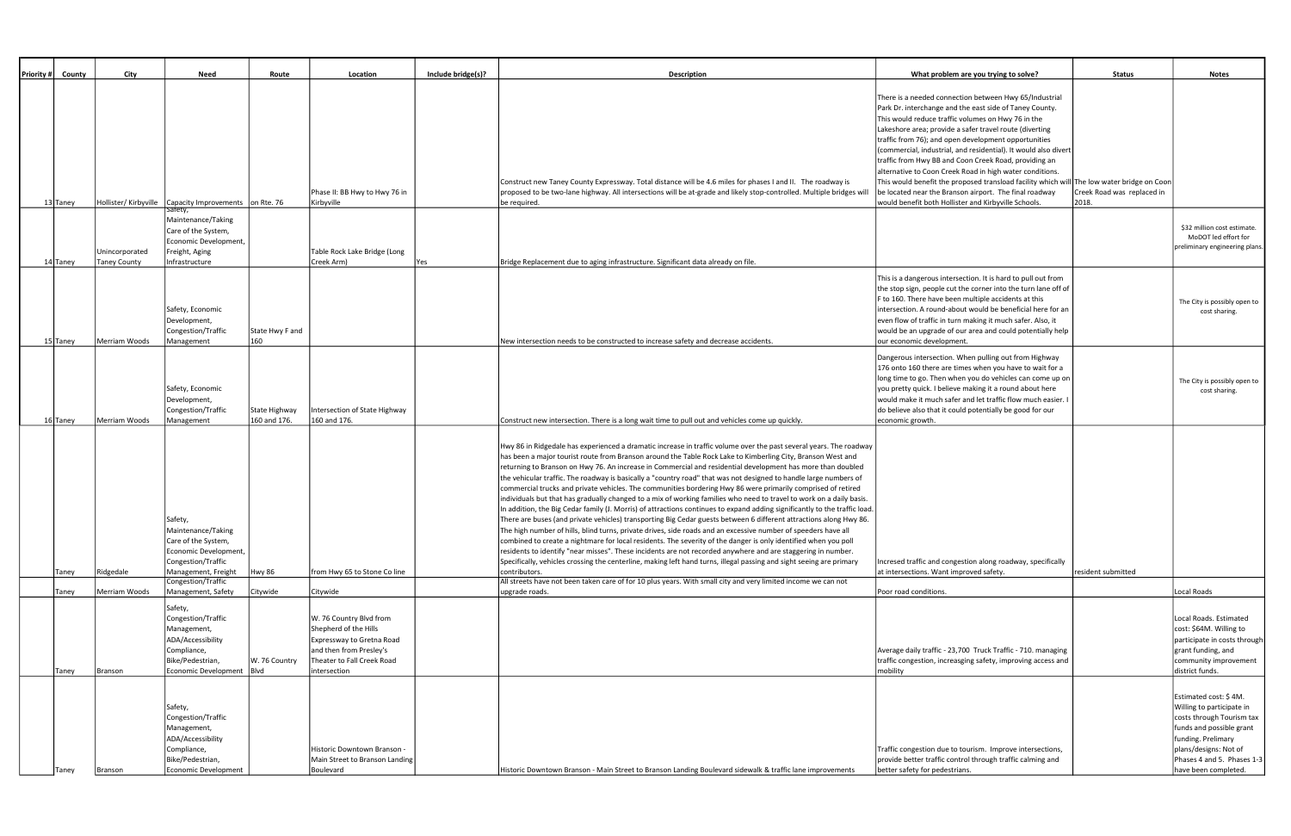| Priority # County | City                | Need                                                  | Route           | Location                                           | Include bridge(s)? | <b>Description</b>                                                                                                                                                                                                                   | What problem are you trying to solve?                                                                                    | <b>Status</b>                       | <b>Notes</b>                                            |
|-------------------|---------------------|-------------------------------------------------------|-----------------|----------------------------------------------------|--------------------|--------------------------------------------------------------------------------------------------------------------------------------------------------------------------------------------------------------------------------------|--------------------------------------------------------------------------------------------------------------------------|-------------------------------------|---------------------------------------------------------|
|                   |                     |                                                       |                 |                                                    |                    |                                                                                                                                                                                                                                      | There is a needed connection between Hwy 65/Industrial<br>Park Dr. interchange and the east side of Taney County.        |                                     |                                                         |
|                   |                     |                                                       |                 |                                                    |                    |                                                                                                                                                                                                                                      | This would reduce traffic volumes on Hwy 76 in the                                                                       |                                     |                                                         |
|                   |                     |                                                       |                 |                                                    |                    |                                                                                                                                                                                                                                      | Lakeshore area; provide a safer travel route (diverting                                                                  |                                     |                                                         |
|                   |                     |                                                       |                 |                                                    |                    |                                                                                                                                                                                                                                      | traffic from 76); and open development opportunities                                                                     |                                     |                                                         |
|                   |                     |                                                       |                 |                                                    |                    |                                                                                                                                                                                                                                      | (commercial, industrial, and residential). It would also divert<br>traffic from Hwy BB and Coon Creek Road, providing an |                                     |                                                         |
|                   |                     |                                                       |                 |                                                    |                    |                                                                                                                                                                                                                                      | alternative to Coon Creek Road in high water conditions.                                                                 |                                     |                                                         |
|                   |                     |                                                       |                 |                                                    |                    | Construct new Taney County Expressway. Total distance will be 4.6 miles for phases I and II. The roadway is                                                                                                                          | This would benefit the proposed transload facility which will The low water bridge on Coon                               |                                     |                                                         |
| 13 Taney          |                     | Hollister/Kirbyville Capacity Improvements on Rte. 76 |                 | Phase II: BB Hwy to Hwy 76 in<br>Kirbyville        |                    | proposed to be two-lane highway. All intersections will be at-grade and likely stop-controlled. Multiple bridges will<br>be required.                                                                                                | be located near the Branson airport. The final roadway<br>would benefit both Hollister and Kirbyville Schools.           | Creek Road was replaced in<br>2018. |                                                         |
|                   |                     | Maintenance/Taking                                    |                 |                                                    |                    |                                                                                                                                                                                                                                      |                                                                                                                          |                                     | \$32 million cost estimate.                             |
|                   |                     | Care of the System,<br>Economic Development,          |                 |                                                    |                    |                                                                                                                                                                                                                                      |                                                                                                                          |                                     | MoDOT led effort for                                    |
|                   | Unincorporated      | Freight, Aging                                        |                 | Table Rock Lake Bridge (Long                       |                    |                                                                                                                                                                                                                                      |                                                                                                                          |                                     | preliminary engineering plans.                          |
| 14 Taney          | <b>Taney County</b> | Infrastructure                                        |                 | Creek Arm)                                         | Yes                | Bridge Replacement due to aging infrastructure. Significant data already on file.                                                                                                                                                    |                                                                                                                          |                                     |                                                         |
|                   |                     |                                                       |                 |                                                    |                    |                                                                                                                                                                                                                                      | This is a dangerous intersection. It is hard to pull out from                                                            |                                     |                                                         |
|                   |                     |                                                       |                 |                                                    |                    |                                                                                                                                                                                                                                      | the stop sign, people cut the corner into the turn lane off of                                                           |                                     |                                                         |
|                   |                     | Safety, Economic                                      |                 |                                                    |                    |                                                                                                                                                                                                                                      | F to 160. There have been multiple accidents at this<br>intersection. A round-about would be beneficial here for an      |                                     | The City is possibly open to                            |
|                   |                     | Development,                                          |                 |                                                    |                    |                                                                                                                                                                                                                                      | even flow of traffic in turn making it much safer. Also, it                                                              |                                     | cost sharing.                                           |
|                   |                     | Congestion/Traffic                                    | State Hwy F and |                                                    |                    |                                                                                                                                                                                                                                      | would be an upgrade of our area and could potentially help                                                               |                                     |                                                         |
| 15 Taney          | Merriam Woods       | Management                                            | 160             |                                                    |                    | New intersection needs to be constructed to increase safety and decrease accidents.                                                                                                                                                  | our economic development.                                                                                                |                                     |                                                         |
|                   |                     |                                                       |                 |                                                    |                    |                                                                                                                                                                                                                                      | Dangerous intersection. When pulling out from Highway                                                                    |                                     |                                                         |
|                   |                     |                                                       |                 |                                                    |                    |                                                                                                                                                                                                                                      | 176 onto 160 there are times when you have to wait for a<br>long time to go. Then when you do vehicles can come up on    |                                     |                                                         |
|                   |                     | Safety, Economic                                      |                 |                                                    |                    |                                                                                                                                                                                                                                      | you pretty quick. I believe making it a round about here                                                                 |                                     | The City is possibly open to<br>cost sharing.           |
|                   |                     | Development,                                          |                 |                                                    |                    |                                                                                                                                                                                                                                      | would make it much safer and let traffic flow much easier.                                                               |                                     |                                                         |
|                   |                     | Congestion/Traffic                                    | State Highway   | Intersection of State Highway                      |                    |                                                                                                                                                                                                                                      | do believe also that it could potentially be good for our                                                                |                                     |                                                         |
| 16 Taney          | Merriam Woods       | Management                                            | 160 and 176.    | 160 and 176.                                       |                    | Construct new intersection. There is a long wait time to pull out and vehicles come up quickly.                                                                                                                                      | economic growth.                                                                                                         |                                     |                                                         |
|                   |                     |                                                       |                 |                                                    |                    | Hwy 86 in Ridgedale has experienced a dramatic increase in traffic volume over the past several years. The roadway                                                                                                                   |                                                                                                                          |                                     |                                                         |
|                   |                     |                                                       |                 |                                                    |                    | has been a major tourist route from Branson around the Table Rock Lake to Kimberling City, Branson West and                                                                                                                          |                                                                                                                          |                                     |                                                         |
|                   |                     |                                                       |                 |                                                    |                    | returning to Branson on Hwy 76. An increase in Commercial and residential development has more than doubled                                                                                                                          |                                                                                                                          |                                     |                                                         |
|                   |                     |                                                       |                 |                                                    |                    | the vehicular traffic. The roadway is basically a "country road" that was not designed to handle large numbers of                                                                                                                    |                                                                                                                          |                                     |                                                         |
|                   |                     |                                                       |                 |                                                    |                    | commercial trucks and private vehicles. The communities bordering Hwy 86 were primarily comprised of retired<br>individuals but that has gradually changed to a mix of working families who need to travel to work on a daily basis. |                                                                                                                          |                                     |                                                         |
|                   |                     |                                                       |                 |                                                    |                    | In addition, the Big Cedar family (J. Morris) of attractions continues to expand adding significantly to the traffic load.                                                                                                           |                                                                                                                          |                                     |                                                         |
|                   |                     | Safety,                                               |                 |                                                    |                    | There are buses (and private vehicles) transporting Big Cedar guests between 6 different attractions along Hwy 86.                                                                                                                   |                                                                                                                          |                                     |                                                         |
|                   |                     | Maintenance/Taking                                    |                 |                                                    |                    | The high number of hills, blind turns, private drives, side roads and an excessive number of speeders have all                                                                                                                       |                                                                                                                          |                                     |                                                         |
|                   |                     | Care of the System,<br>Economic Development,          |                 |                                                    |                    | combined to create a nightmare for local residents. The severity of the danger is only identified when you poll<br>residents to identify "near misses". These incidents are not recorded anywhere and are staggering in number.      |                                                                                                                          |                                     |                                                         |
|                   |                     | Congestion/Traffic                                    |                 |                                                    |                    | Specifically, vehicles crossing the centerline, making left hand turns, illegal passing and sight seeing are primary                                                                                                                 | Incresed traffic and congestion along roadway, specifically                                                              |                                     |                                                         |
| Taney             | Ridgedale           | Management, Freight                                   | Hwy 86          | from Hwy 65 to Stone Co line                       |                    | contributors.<br>All streets have not been taken care of for 10 plus years. With small city and very limited income we can not                                                                                                       | at intersections. Want improved safety.                                                                                  | resident submitted                  |                                                         |
| Taney             | Merriam Woods       | Congestion/Traffic<br>Management, Safety              | Citywide        | Citywide                                           |                    | upgrade roads.                                                                                                                                                                                                                       | Poor road conditions.                                                                                                    |                                     | Local Roads                                             |
|                   |                     | Safety,                                               |                 |                                                    |                    |                                                                                                                                                                                                                                      |                                                                                                                          |                                     |                                                         |
|                   |                     | Congestion/Traffic                                    |                 | W. 76 Country Blvd from                            |                    |                                                                                                                                                                                                                                      |                                                                                                                          |                                     | Local Roads. Estimated                                  |
|                   |                     | Management,<br>ADA/Accessibility                      |                 | Shepherd of the Hills<br>Expressway to Gretna Road |                    |                                                                                                                                                                                                                                      |                                                                                                                          |                                     | cost: \$64M. Willing to<br>participate in costs through |
|                   |                     | Compliance,                                           |                 | and then from Presley's                            |                    |                                                                                                                                                                                                                                      | Average daily traffic - 23,700 Truck Traffic - 710. managing                                                             |                                     | grant funding, and                                      |
|                   |                     | Bike/Pedestrian,                                      | W. 76 Country   | Theater to Fall Creek Road                         |                    |                                                                                                                                                                                                                                      | traffic congestion, increasging safety, improving access and                                                             |                                     | community improvement                                   |
| Taney             | Branson             | Economic Development   Blvd                           |                 | intersection                                       |                    |                                                                                                                                                                                                                                      | mobility                                                                                                                 |                                     | district funds.                                         |
|                   |                     |                                                       |                 |                                                    |                    |                                                                                                                                                                                                                                      |                                                                                                                          |                                     | Estimated cost: \$4M.                                   |
|                   |                     | Safety,                                               |                 |                                                    |                    |                                                                                                                                                                                                                                      |                                                                                                                          |                                     | Willing to participate in                               |
|                   |                     | Congestion/Traffic                                    |                 |                                                    |                    |                                                                                                                                                                                                                                      |                                                                                                                          |                                     | costs through Tourism tax                               |
|                   |                     | Management,                                           |                 |                                                    |                    |                                                                                                                                                                                                                                      |                                                                                                                          |                                     | funds and possible grant                                |
|                   |                     | ADA/Accessibility<br>Compliance,                      |                 | Historic Downtown Branson -                        |                    |                                                                                                                                                                                                                                      | Traffic congestion due to tourism. Improve intersections,                                                                |                                     | funding. Prelimary<br>plans/designs: Not of             |
|                   |                     | Bike/Pedestrian,                                      |                 | Main Street to Branson Landing                     |                    |                                                                                                                                                                                                                                      | provide better traffic control through traffic calming and                                                               |                                     | Phases 4 and 5. Phases 1-3                              |
| Taney             | Branson             | <b>Economic Development</b>                           |                 | Boulevard                                          |                    | Historic Downtown Branson - Main Street to Branson Landing Boulevard sidewalk & traffic lane improvements                                                                                                                            | better safety for pedestrians.                                                                                           |                                     | have been completed                                     |